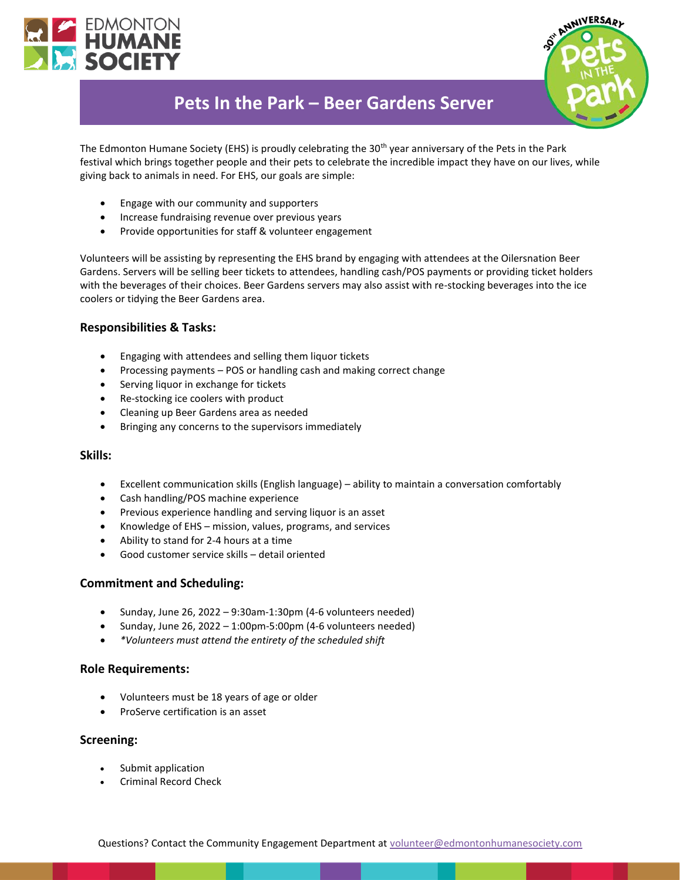



# **Pets In the Park – Beer Gardens Server**

The Edmonton Humane Society (EHS) is proudly celebrating the 30<sup>th</sup> year anniversary of the Pets in the Park festival which brings together people and their pets to celebrate the incredible impact they have on our lives, while giving back to animals in need. For EHS, our goals are simple:

- Engage with our community and supporters
- Increase fundraising revenue over previous years
- Provide opportunities for staff & volunteer engagement

Volunteers will be assisting by representing the EHS brand by engaging with attendees at the Oilersnation Beer Gardens. Servers will be selling beer tickets to attendees, handling cash/POS payments or providing ticket holders with the beverages of their choices. Beer Gardens servers may also assist with re-stocking beverages into the ice coolers or tidying the Beer Gardens area.

# **Responsibilities & Tasks:**

- Engaging with attendees and selling them liquor tickets
- Processing payments POS or handling cash and making correct change
- Serving liquor in exchange for tickets
- Re-stocking ice coolers with product
- Cleaning up Beer Gardens area as needed
- Bringing any concerns to the supervisors immediately

#### **Skills:**

- Excellent communication skills (English language) ability to maintain a conversation comfortably
- Cash handling/POS machine experience
- Previous experience handling and serving liquor is an asset
- Knowledge of EHS mission, values, programs, and services
- Ability to stand for 2-4 hours at a time
- Good customer service skills detail oriented

# **Commitment and Scheduling:**

- Sunday, June 26, 2022 9:30am-1:30pm (4-6 volunteers needed)
- Sunday, June 26, 2022 1:00pm-5:00pm (4-6 volunteers needed)
- *\*Volunteers must attend the entirety of the scheduled shift*

# **Role Requirements:**

- Volunteers must be 18 years of age or older
- ProServe certification is an asset

# **Screening:**

- Submit application
- Criminal Record Check